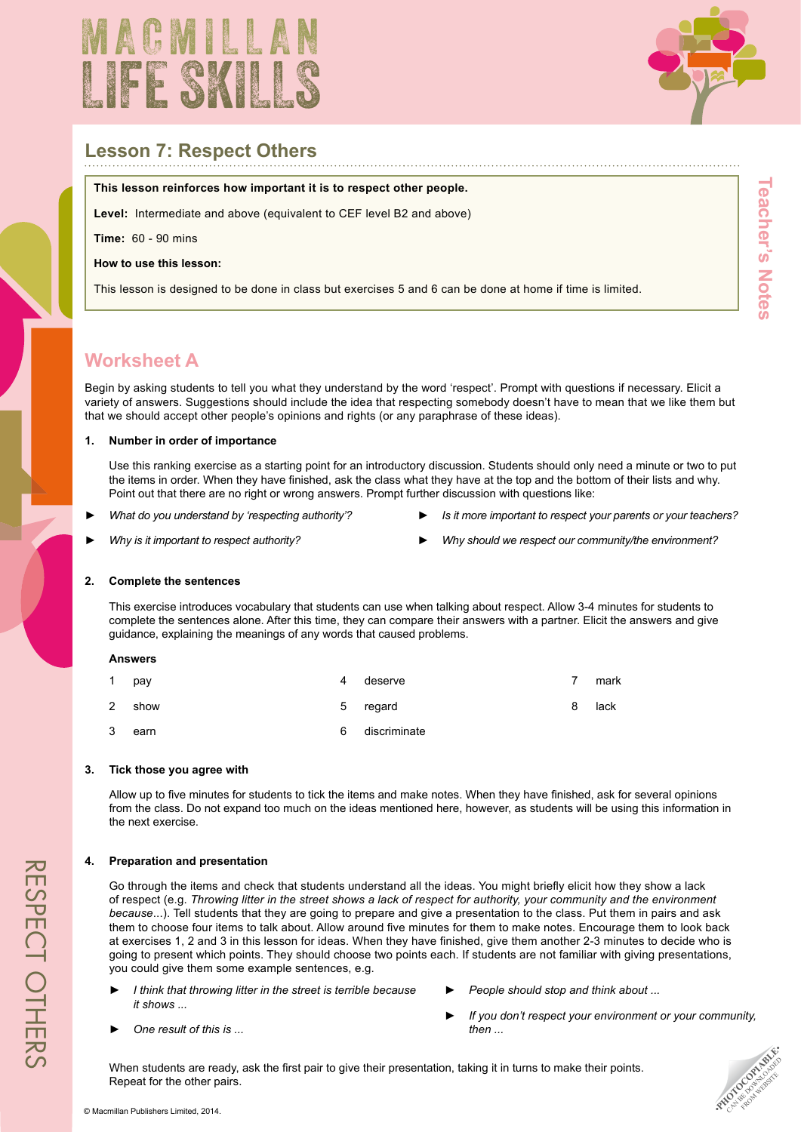



# **Lesson 7: Respect Others**

#### **This lesson reinforces how important it is to respect other people.**

**Level:** Intermediate and above (equivalent to CEF level B2 and above)

**Time:** 60 - 90 mins

**How to use this lesson:**

This lesson is designed to be done in class but exercises 5 and 6 can be done at home if time is limited.

# **Worksheet A**

Begin by asking students to tell you what they understand by the word 'respect'. Prompt with questions if necessary. Elicit a variety of answers. Suggestions should include the idea that respecting somebody doesn't have to mean that we like them but that we should accept other people's opinions and rights (or any paraphrase of these ideas).

### **1. Number in order of importance**

Use this ranking exercise as a starting point for an introductory discussion. Students should only need a minute or two to put the items in order. When they have finished, ask the class what they have at the top and the bottom of their lists and why. Point out that there are no right or wrong answers. Prompt further discussion with questions like:

- ► *What do you understand by 'respecting authority'?*
- ► *Is it more important to respect your parents or your teachers?*
- ► *Why is it important to respect authority?*
- ► *Why should we respect our community/the environment?*

#### **2. Complete the sentences**

This exercise introduces vocabulary that students can use when talking about respect. Allow 3-4 minutes for students to complete the sentences alone. After this time, they can compare their answers with a partner. Elicit the answers and give guidance, explaining the meanings of any words that caused problems.

#### **Answers**

| 1 | pay  | 4 | deserve      |   | mark |
|---|------|---|--------------|---|------|
| 2 | show | 5 | regard       | 8 | lack |
| 3 | earn | 6 | discriminate |   |      |

#### **3. Tick those you agree with**

Allow up to five minutes for students to tick the items and make notes. When they have finished, ask for several opinions from the class. Do not expand too much on the ideas mentioned here, however, as students will be using this information in the next exercise.

## **4. Preparation and presentation**

► *One result of this is ...*

Go through the items and check that students understand all the ideas. You might briefly elicit how they show a lack of respect (e.g. Throwing litter in the street shows a lack of respect for authority, your community and the environment *because*...). Tell students that they are going to prepare and give a presentation to the class. Put them in pairs and ask them to choose four items to talk about. Allow around five minutes for them to make notes. Encourage them to look back at exercises 1, 2 and 3 in this lesson for ideas. When they have finished, give them another 2-3 minutes to decide who is going to present which points. They should choose two points each. If students are not familiar with giving presentations, you could give them some example sentences, e.g.

- ► *I think that throwing litter in the street is terrible because it shows ...*
- ► *People should stop and think about ...*
- ► *If you don't respect your environment or your community, then ...*

When students are ready, ask the first pair to give their presentation, taking it in turns to make their points. Repeat for the other pairs.



respect others

RESPECT OTHERS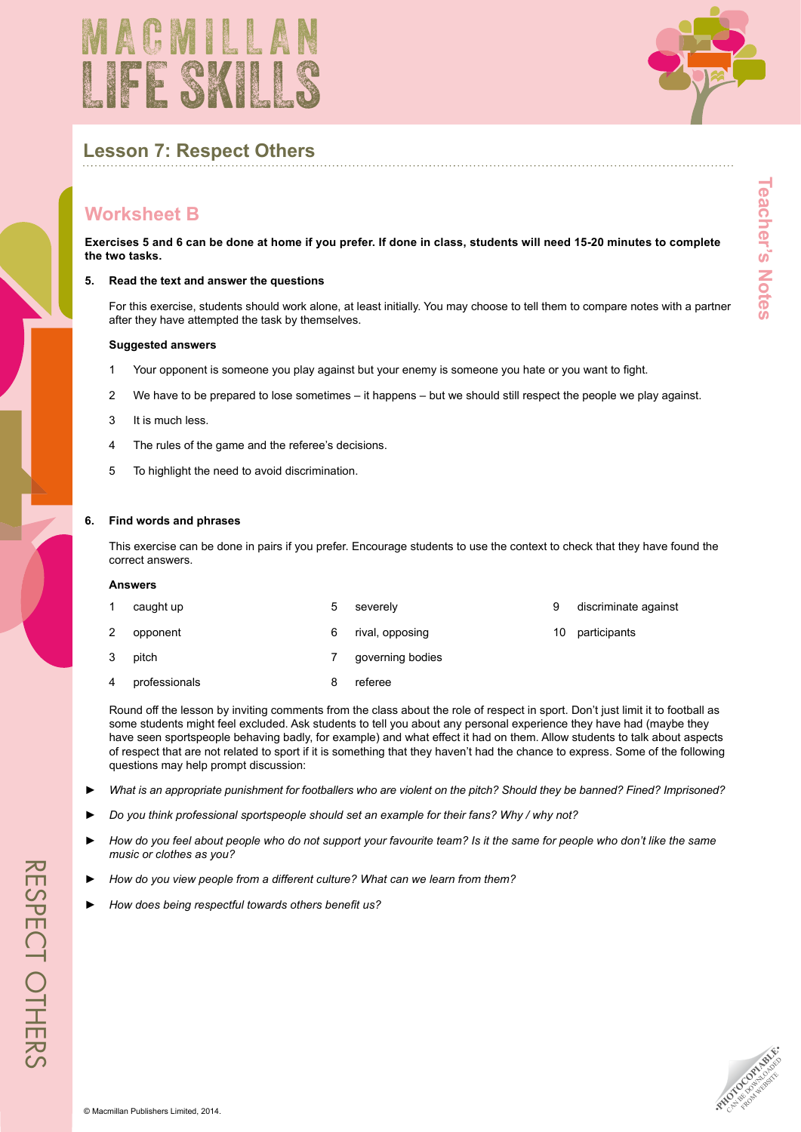



# **Lesson 7: Respect Others**

# **Worksheet B**

**Exercises 5 and 6 can be done at home if you prefer. If done in class, students will need 15-20 minutes to complete the two tasks.**

#### **5. Read the text and answer the questions**

For this exercise, students should work alone, at least initially. You may choose to tell them to compare notes with a partner after they have attempted the task by themselves.

#### **Suggested answers**

- 1 Your opponent is someone you play against but your enemy is someone you hate or you want to fight.
- 2 We have to be prepared to lose sometimes it happens but we should still respect the people we play against.
- 3 It is much less.
- 4 The rules of the game and the referee's decisions.
- 5 To highlight the need to avoid discrimination.

#### **6. Find words and phrases**

This exercise can be done in pairs if you prefer. Encourage students to use the context to check that they have found the correct answers.

#### **Answers**

| 1              | caught up     | 5 | severely         |    | discriminate against |
|----------------|---------------|---|------------------|----|----------------------|
| $\mathbf{2}^-$ | opponent      | 6 | rival, opposing  | 10 | participants         |
| 3              | pitch         |   | governing bodies |    |                      |
| 4              | professionals |   | referee          |    |                      |

Round off the lesson by inviting comments from the class about the role of respect in sport. Don't just limit it to football as some students might feel excluded. Ask students to tell you about any personal experience they have had (maybe they have seen sportspeople behaving badly, for example) and what effect it had on them. Allow students to talk about aspects of respect that are not related to sport if it is something that they haven't had the chance to express. Some of the following questions may help prompt discussion:

- What is an appropriate punishment for footballers who are violent on the pitch? Should they be banned? Fined? Imprisoned?
- ► *Do you think professional sportspeople should set an example for their fans? Why / why not?*
- How do you feel about people who do not support your favourite team? Is it the same for people who don't like the same *music or clothes as you?*
- ► *How do you view people from a different culture? What can we learn from them?*
- ► *How does being respectful towards others benefit us?*

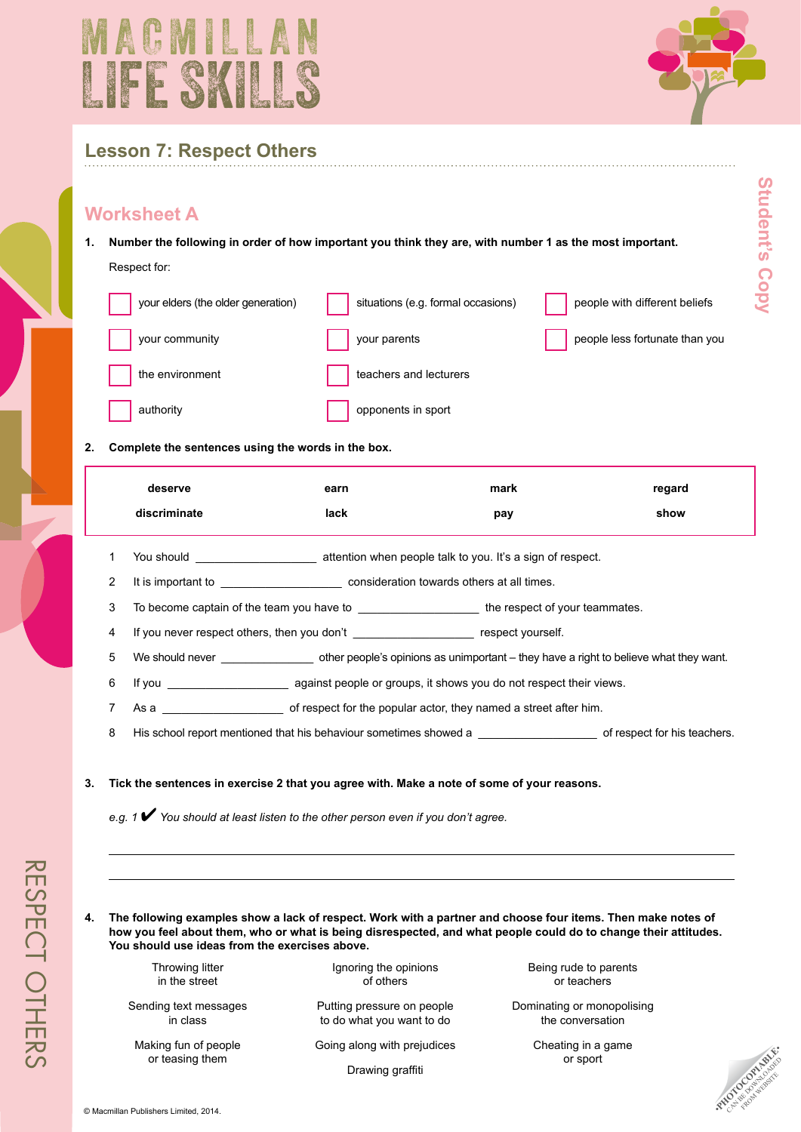



**Student's Copy**

Student's Copy

# **Lesson 7: Respect Others**

## **Worksheet A**

**1. Number the following in order of how important you think they are, with number 1 as the most important.**

## Respect for:

| your elders (the older generation) | situations (e.g. formal occasions) | people with different beliefs  |
|------------------------------------|------------------------------------|--------------------------------|
| your community                     | your parents                       | people less fortunate than you |
| the environment                    | teachers and lecturers             |                                |
| authority                          | opponents in sport                 |                                |

## **2. Complete the sentences using the words in the box.**

| deserve      | earn | mark | regard |
|--------------|------|------|--------|
| discriminate | lack | pay  | show   |

- 1 You should \_\_\_\_\_\_\_\_\_\_\_\_\_\_\_\_\_\_\_ attention when people talk to you. It's a sign of respect.
- 2 It is important to \_\_\_\_\_\_\_\_\_\_\_\_\_\_\_\_\_\_\_ consideration towards others at all times.
- 3 To become captain of the team you have to \_\_\_\_\_\_\_\_\_\_\_\_\_\_\_\_\_\_\_\_\_\_\_\_\_\_\_the respect of your teammates.
- 4 If you never respect others, then you don't \_\_\_\_\_\_\_\_\_\_\_\_\_\_\_\_\_\_\_\_\_\_\_ respect yourself.
- 5 We should never \_\_\_\_\_\_\_\_\_\_\_\_\_\_\_ other people's opinions as unimportant they have a right to believe what they want.
- 6 If you **see against people or groups, it shows you do not respect their views.**
- 7 As a \_\_\_\_\_\_\_\_\_\_\_\_\_\_\_\_\_\_\_\_\_\_\_\_\_ of respect for the popular actor, they named a street after him.
- 8 His school report mentioned that his behaviour sometimes showed a **Example 20** of respect for his teachers.

## **3. Tick the sentences in exercise 2 that you agree with. Make a note of some of your reasons.**

*e.g. <sup>1</sup>* 4 *You should at least listen to the other person even if you don't agree.*

**4. The following examples show a lack of respect. Work with a partner and choose four items. Then make notes of how you feel about them, who or what is being disrespected, and what people could do to change their attitudes. You should use ideas from the exercises above.**

> Throwing litter in the street

Sending text messages in class

Making fun of people or teasing them

Ignoring the opinions of others

Putting pressure on people to do what you want to do

Going along with prejudices

Drawing graffiti

Being rude to parents or teachers

Dominating or monopolising the conversation

> Cheating in a game or sport